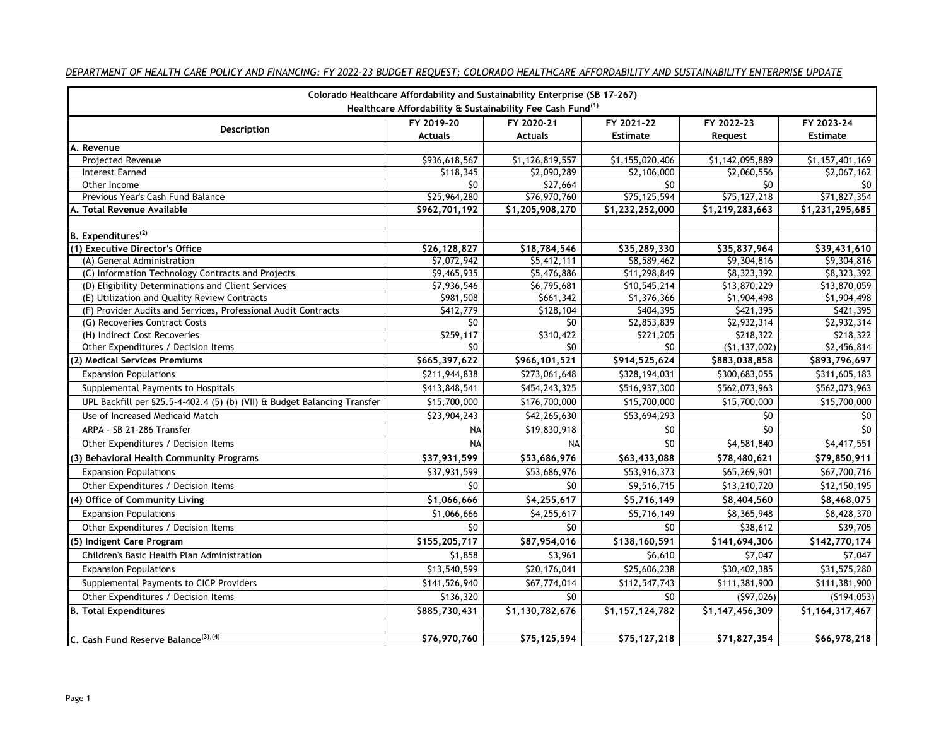| Colorado Healthcare Affordability and Sustainability Enterprise (SB 17-267) |                              |                              |                               |                 |                               |  |  |
|-----------------------------------------------------------------------------|------------------------------|------------------------------|-------------------------------|-----------------|-------------------------------|--|--|
| Healthcare Affordability & Sustainability Fee Cash Fund <sup>(1)</sup>      |                              |                              |                               |                 |                               |  |  |
| Description                                                                 | FY 2019-20<br><b>Actuals</b> | FY 2020-21<br><b>Actuals</b> | FY 2021-22<br><b>Estimate</b> | FY 2022-23      | FY 2023-24<br><b>Estimate</b> |  |  |
| A.<br>Revenue                                                               |                              |                              |                               | Request         |                               |  |  |
| Projected Revenue                                                           | \$936,618,567                | \$1,126,819,557              | \$1,155,020,406               | \$1,142,095,889 | \$1,157,401,169               |  |  |
| <b>Interest Earned</b>                                                      | \$118,345                    | \$2,090,289                  | \$2,106,000                   | \$2,060,556     | \$2,067,162                   |  |  |
| Other Income                                                                | \$0                          | \$27,664                     | \$0                           | \$0             | \$0                           |  |  |
| Previous Year's Cash Fund Balance                                           | \$25,964,280                 | \$76,970,760                 | \$75,125,594                  | \$75,127,218    | \$71,827,354                  |  |  |
| A. Total Revenue Available                                                  | \$962,701,192                | \$1,205,908,270              | $\overline{51,232,252,000}$   | \$1,219,283,663 | \$1,231,295,685               |  |  |
|                                                                             |                              |                              |                               |                 |                               |  |  |
| B. Expenditures <sup>(2)</sup>                                              |                              |                              |                               |                 |                               |  |  |
| (1) Executive Director's Office                                             | \$26,128,827                 | \$18,784,546                 | \$35,289,330                  | \$35,837,964    | \$39,431,610                  |  |  |
| (A) General Administration                                                  | \$7,072,942                  | \$5,412,111                  | \$8,589,462                   | \$9,304,816     | \$9,304,816                   |  |  |
| (C) Information Technology Contracts and Projects                           | \$9,465,935                  | \$5,476,886                  | \$11,298,849                  | \$8,323,392     | \$8,323,392                   |  |  |
| (D) Eligibility Determinations and Client Services                          | \$7,936,546                  | \$6,795,681                  | \$10,545,214                  | \$13,870,229    | \$13,870,059                  |  |  |
| (E) Utilization and Quality Review Contracts                                | \$981,508                    | \$661,342                    | \$1,376,366                   | \$1,904,498     | \$1,904,498                   |  |  |
| (F) Provider Audits and Services, Professional Audit Contracts              | \$412,779                    | \$128,104                    | \$404,395                     | \$421,395       | \$421,395                     |  |  |
| (G) Recoveries Contract Costs                                               | \$0                          | $\overline{50}$              | \$2,853,839                   | \$2,932,314     | \$2,932,314                   |  |  |
| (H) Indirect Cost Recoveries                                                | \$259,117                    | \$310,422                    | \$221,205                     | \$218,322       | \$218,322                     |  |  |
| Other Expenditures / Decision Items                                         | \$0                          | \$0                          | \$0                           | (51, 137, 002)  | \$2,456,814                   |  |  |
| (2) Medical Services Premiums                                               | \$665,397,622                | \$966,101,521                | \$914,525,624                 | \$883,038,858   | \$893,796,697                 |  |  |
| <b>Expansion Populations</b>                                                | \$211,944,838                | \$273,061,648                | \$328,194,031                 | \$300,683,055   | \$311,605,183                 |  |  |
| Supplemental Payments to Hospitals                                          | \$413,848,541                | \$454,243,325                | \$516,937,300                 | \$562,073,963   | \$562,073,963                 |  |  |
| UPL Backfill per §25.5-4-402.4 (5) (b) (VII) & Budget Balancing Transfer    | \$15,700,000                 | \$176,700,000                | \$15,700,000                  | \$15,700,000    | \$15,700,000                  |  |  |
| Use of Increased Medicaid Match                                             | \$23,904,243                 | \$42,265,630                 | \$53,694,293                  | \$0             | \$0                           |  |  |
| ARPA - SB 21-286 Transfer                                                   | <b>NA</b>                    | \$19,830,918                 | \$0                           | \$0             | \$0                           |  |  |
| Other Expenditures / Decision Items                                         | <b>NA</b>                    | <b>NA</b>                    | $\overline{50}$               | \$4,581,840     | \$4,417,551                   |  |  |
| (3) Behavioral Health Community Programs                                    | \$37,931,599                 | \$53,686,976                 | \$63,433,088                  | \$78,480,621    | \$79,850,911                  |  |  |
| <b>Expansion Populations</b>                                                | \$37,931,599                 | \$53,686,976                 | \$53,916,373                  | \$65,269,901    | \$67,700,716                  |  |  |
| Other Expenditures / Decision Items                                         | \$0                          | \$0                          | \$9,516,715                   | \$13,210,720    | \$12,150,195                  |  |  |
| (4) Office of Community Living                                              | \$1,066,666                  | \$4,255,617                  | \$5,716,149                   | \$8,404,560     | \$8,468,075                   |  |  |
| <b>Expansion Populations</b>                                                | \$1,066,666                  | \$4,255,617                  | \$5,716,149                   | \$8,365,948     | \$8,428,370                   |  |  |
| Other Expenditures / Decision Items                                         | \$0                          | \$0                          | \$0                           | \$38,612        | \$39,705                      |  |  |
| (5) Indigent Care Program                                                   | \$155,205,717                | \$87,954,016                 | \$138,160,591                 | \$141,694,306   | \$142,770,174                 |  |  |
| Children's Basic Health Plan Administration                                 | \$1,858                      | \$3,961                      | \$6,610                       | \$7,047         | \$7,047                       |  |  |
| <b>Expansion Populations</b>                                                | \$13,540,599                 | \$20,176,041                 | \$25,606,238                  | \$30,402,385    | \$31,575,280                  |  |  |
| Supplemental Payments to CICP Providers                                     | \$141,526,940                | \$67,774,014                 | \$112,547,743                 | \$111,381,900   | \$111,381,900                 |  |  |
|                                                                             |                              |                              |                               |                 |                               |  |  |
| Other Expenditures / Decision Items                                         | \$136,320                    | \$0                          | \$0                           | (597, 026)      | (5194, 053)                   |  |  |
| <b>B. Total Expenditures</b>                                                | \$885,730,431                | \$1,130,782,676              | \$1,157,124,782               | \$1,147,456,309 | \$1,164,317,467               |  |  |
|                                                                             |                              |                              |                               |                 |                               |  |  |
| C. Cash Fund Reserve Balance <sup>(3),(4)</sup>                             | \$76,970,760                 | \$75,125,594                 | \$75,127,218                  | \$71,827,354    | \$66,978,218                  |  |  |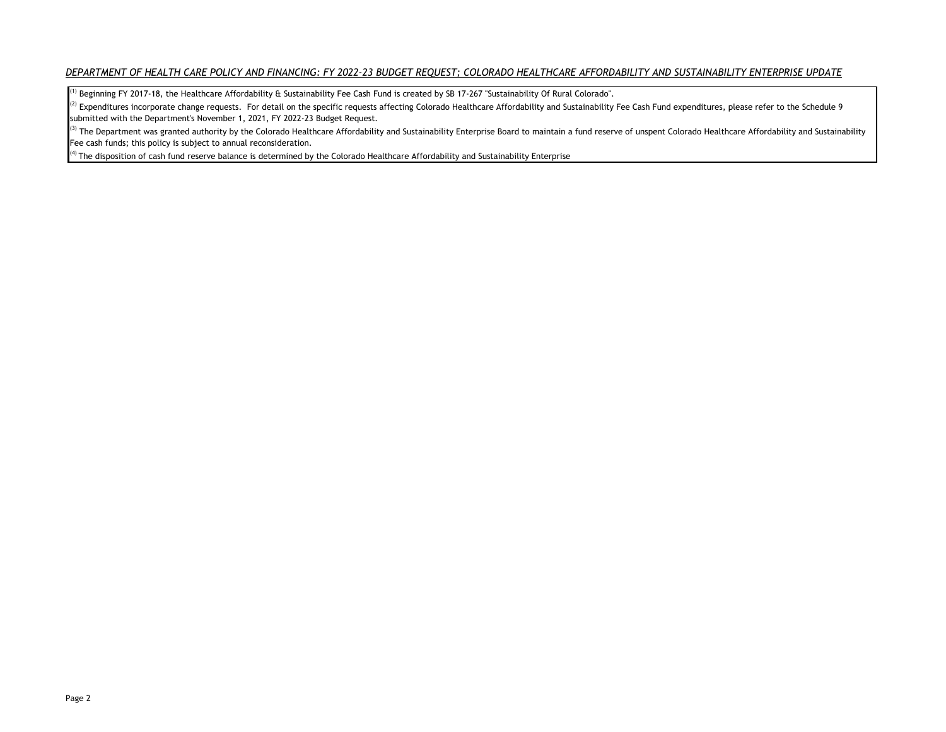$^{\rm 1)}$  Beginning FY 2017-18, the Healthcare Affordability  $\rm\acute{e}$  Sustainability Fee Cash Fund is created by SB 17-267 "Sustainability Of Rural Colorado".

 $^{(2)}$  Expenditures incorporate change requests. For detail on the specific requests affecting Colorado Healthcare Affordability and Sustainability Fee Cash Fund expenditures, please refer to the Schedule 9 submitted with the Department's November 1, 2021, FY 2022-23 Budget Request.

<sup>(3)</sup> The Department was granted authority by the Colorado Healthcare Affordability and Sustainability Enterprise Board to maintain a fund reserve of unspent Colorado Healthcare Affordability and Sustainability Fee cash funds; this policy is subject to annual reconsideration.

 $<sup>(4)</sup>$  The disposition of cash fund reserve balance is determined by the Colorado Healthcare Affordability and Sustainability Enterprise</sup>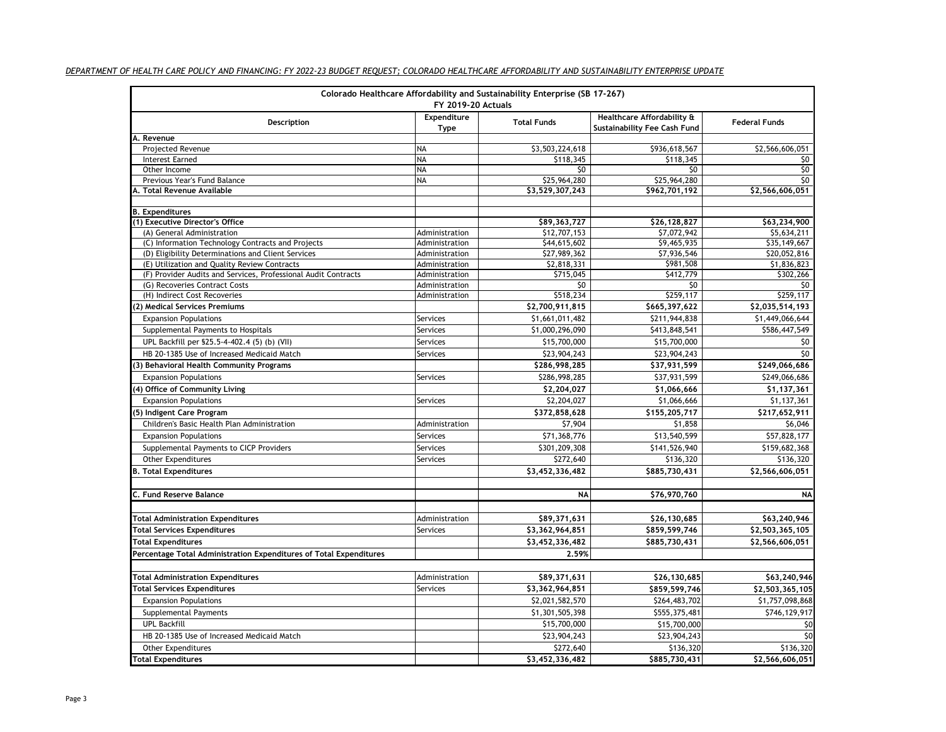| Colorado Healthcare Affordability and Sustainability Enterprise (SB 17-267)<br><b>FY 2019-20 Actuals</b> |                     |                    |                                                            |                      |  |
|----------------------------------------------------------------------------------------------------------|---------------------|--------------------|------------------------------------------------------------|----------------------|--|
| Description                                                                                              | Expenditure<br>Type | <b>Total Funds</b> | Healthcare Affordability &<br>Sustainability Fee Cash Fund | <b>Federal Funds</b> |  |
| A. Revenue                                                                                               |                     |                    |                                                            |                      |  |
| Projected Revenue                                                                                        | <b>NA</b>           | \$3,503,224,618    | \$936,618,567                                              | \$2,566,606,051      |  |
| <b>Interest Earned</b>                                                                                   | <b>NA</b>           | \$118,345          | \$118,345                                                  | \$0                  |  |
| Other Income                                                                                             | <b>NA</b>           | \$0                | \$0                                                        | \$0                  |  |
| Previous Year's Fund Balance                                                                             | <b>NA</b>           | \$25,964,280       | \$25,964,280                                               | \$0                  |  |
| A. Total Revenue Available                                                                               |                     | \$3,529,307,243    | \$962,701,192                                              | \$2,566,606,051      |  |
| <b>B.</b> Expenditures                                                                                   |                     |                    |                                                            |                      |  |
| (1) Executive Director's Office                                                                          |                     | \$89,363,727       | \$26,128,827                                               | \$63,234,900         |  |
| (A) General Administration                                                                               | Administration      | \$12,707,153       | \$7,072,942                                                | \$5,634,211          |  |
| (C) Information Technology Contracts and Projects                                                        | Administration      | \$44,615,602       | \$9,465,935                                                | \$35,149,667         |  |
| (D) Eligibility Determinations and Client Services                                                       | Administration      | \$27,989,362       | \$7,936,546                                                | \$20,052,816         |  |
| (E) Utilization and Quality Review Contracts                                                             | Administration      | \$2,818,331        | \$981,508                                                  | \$1,836,823          |  |
| (F) Provider Audits and Services, Professional Audit Contracts                                           | Administration      | \$715,045          | \$412,779                                                  | \$302,266            |  |
| (G) Recoveries Contract Costs                                                                            | Administration      | \$0                | \$0                                                        | \$0                  |  |
| (H) Indirect Cost Recoveries                                                                             | Administration      | \$518,234          | \$259,117                                                  | \$259,117            |  |
| (2) Medical Services Premiums                                                                            |                     | \$2,700,911,815    | \$665,397,622                                              | \$2,035,514,193      |  |
| <b>Expansion Populations</b>                                                                             | Services            | \$1,661,011,482    | \$211,944,838                                              | \$1,449,066,644      |  |
| Supplemental Payments to Hospitals                                                                       | Services            | \$1,000,296,090    | \$413,848,541                                              | \$586,447,549        |  |
| UPL Backfill per §25.5-4-402.4 (5) (b) (VII)                                                             | Services            | \$15,700,000       | \$15,700,000                                               | \$0                  |  |
| HB 20-1385 Use of Increased Medicaid Match                                                               | Services            | \$23,904,243       | \$23,904,243                                               | 50                   |  |
| (3) Behavioral Health Community Programs                                                                 |                     | \$286,998,285      | \$37,931,599                                               | \$249,066,686        |  |
| <b>Expansion Populations</b>                                                                             | Services            | \$286,998,285      | \$37,931,599                                               | \$249,066,686        |  |
| (4) Office of Community Living                                                                           |                     | \$2,204,027        | \$1,066,666                                                | \$1,137,361          |  |
| <b>Expansion Populations</b>                                                                             | Services            | \$2,204,027        | \$1,066,666                                                | \$1,137,361          |  |
| (5) Indigent Care Program                                                                                |                     | \$372,858,628      | \$155,205,717                                              | \$217,652,911        |  |
| Children's Basic Health Plan Administration                                                              | Administration      | \$7,904            | \$1,858                                                    | \$6,046              |  |
| <b>Expansion Populations</b>                                                                             | Services            | \$71,368,776       | \$13,540,599                                               | \$57,828,177         |  |
|                                                                                                          |                     |                    |                                                            |                      |  |
| Supplemental Payments to CICP Providers                                                                  | Services            | \$301,209,308      | \$141,526,940                                              | \$159,682,368        |  |
| <b>Other Expenditures</b>                                                                                | Services            | \$272,640          | \$136,320                                                  | \$136,320            |  |
| <b>B. Total Expenditures</b>                                                                             |                     | \$3,452,336,482    | \$885,730,431                                              | \$2,566,606,051      |  |
| C. Fund Reserve Balance                                                                                  |                     | NA                 | \$76,970,760                                               | <b>NA</b>            |  |
|                                                                                                          |                     |                    |                                                            |                      |  |
| <b>Total Administration Expenditures</b>                                                                 | Administration      | \$89,371,631       | \$26,130,685                                               | \$63,240,946         |  |
| <b>Total Services Expenditures</b>                                                                       | Services            | \$3,362,964,851    | \$859,599,746                                              | \$2,503,365,105      |  |
| <b>Total Expenditures</b>                                                                                |                     | \$3,452,336,482    | \$885,730,431                                              | \$2,566,606,051      |  |
| Percentage Total Administration Expenditures of Total Expenditures                                       |                     | 2.59%              |                                                            |                      |  |
|                                                                                                          |                     |                    |                                                            |                      |  |
| <b>Total Administration Expenditures</b>                                                                 | Administration      | \$89,371,631       | \$26,130,685                                               | \$63,240,946         |  |
| <b>Total Services Expenditures</b>                                                                       | Services            | \$3,362,964,851    | \$859,599,746                                              | \$2,503,365,105      |  |
| <b>Expansion Populations</b>                                                                             |                     | \$2,021,582,570    | \$264,483,702                                              | \$1,757,098,868      |  |
| Supplemental Payments                                                                                    |                     | \$1,301,505,398    | \$555,375,481                                              | \$746,129,917        |  |
| <b>UPL Backfill</b>                                                                                      |                     | \$15,700,000       | \$15,700,000                                               | \$0                  |  |
| HB 20-1385 Use of Increased Medicaid Match                                                               |                     | \$23,904,243       | \$23,904,243                                               | \$0                  |  |
| <b>Other Expenditures</b>                                                                                |                     | \$272,640          | \$136,320                                                  | \$136,320            |  |
| <b>Total Expenditures</b>                                                                                |                     | \$3,452,336,482    | \$885,730,431                                              | \$2,566,606,051      |  |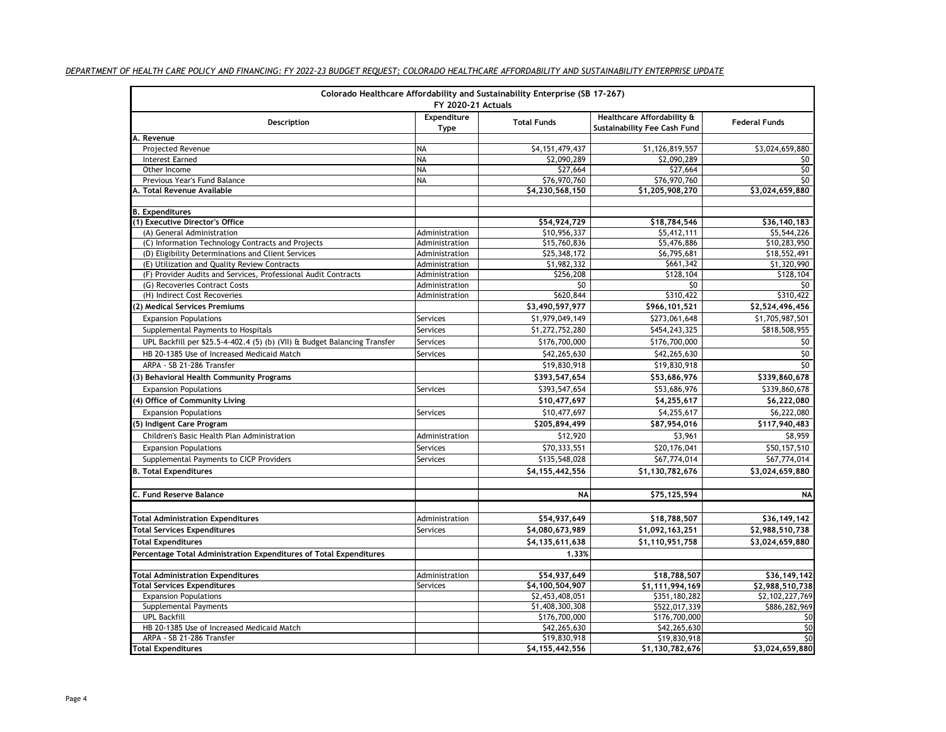| Colorado Healthcare Affordability and Sustainability Enterprise (SB 17-267)<br>FY 2020-21 Actuals |                     |                                    |                                                                   |                                    |  |
|---------------------------------------------------------------------------------------------------|---------------------|------------------------------------|-------------------------------------------------------------------|------------------------------------|--|
| Description                                                                                       | Expenditure<br>Type | <b>Total Funds</b>                 | Healthcare Affordability &<br><b>Sustainability Fee Cash Fund</b> | <b>Federal Funds</b>               |  |
| A. Revenue                                                                                        |                     |                                    |                                                                   |                                    |  |
| Projected Revenue                                                                                 | <b>NA</b>           | \$4,151,479,437                    | \$1,126,819,557                                                   | \$3,024,659,880                    |  |
| Interest Earned                                                                                   | NA                  | \$2,090,289                        | \$2,090,289                                                       | \$0                                |  |
| Other Income                                                                                      | <b>NA</b>           | \$27,664                           | \$27,664                                                          | 50                                 |  |
| Previous Year's Fund Balance                                                                      | <b>NA</b>           | \$76,970,760                       | \$76,970,760                                                      | SO                                 |  |
| A. Total Revenue Available                                                                        |                     | \$4,230,568,150                    | \$1,205,908,270                                                   | \$3,024,659,880                    |  |
| <b>B.</b> Expenditures                                                                            |                     |                                    |                                                                   |                                    |  |
| (1) Executive Director's Office                                                                   |                     | \$54,924,729                       | \$18,784,546                                                      | \$36,140,183                       |  |
| (A) General Administration                                                                        | Administration      | \$10,956,337                       | \$5,412,111                                                       | \$5,544,226                        |  |
| (C) Information Technology Contracts and Projects                                                 | Administration      | \$15,760,836                       | \$5,476,886                                                       | \$10,283,950                       |  |
| (D) Eligibility Determinations and Client Services                                                | Administration      | \$25,348,172                       | \$6,795,681                                                       | \$18,552,491                       |  |
| (E) Utilization and Quality Review Contracts                                                      | Administration      | \$1,982,332                        | \$661,342                                                         | \$1,320,990                        |  |
| (F) Provider Audits and Services, Professional Audit Contracts                                    | Administration      | \$256,208                          | \$128,104                                                         | \$128,104                          |  |
| (G) Recoveries Contract Costs                                                                     | Administration      | \$0                                | \$0                                                               | \$0                                |  |
| (H) Indirect Cost Recoveries                                                                      | Administration      | \$620,844                          | \$310,422                                                         | \$310,422                          |  |
| (2) Medical Services Premiums                                                                     |                     | \$3,490,597,977                    | \$966,101,521                                                     | \$2,524,496,456                    |  |
| <b>Expansion Populations</b>                                                                      | Services            | \$1,979,049,149                    | \$273,061,648                                                     | \$1,705,987,501                    |  |
| Supplemental Payments to Hospitals                                                                | Services            | \$1,272,752,280                    | \$454,243,325                                                     | \$818,508,955                      |  |
| UPL Backfill per §25.5-4-402.4 (5) (b) (VII) & Budget Balancing Transfer                          | Services            | \$176,700,000                      | \$176,700,000                                                     | \$0                                |  |
| HB 20-1385 Use of Increased Medicaid Match                                                        | Services            | \$42,265,630                       | \$42,265,630                                                      | \$0                                |  |
| ARPA - SB 21-286 Transfer                                                                         |                     | \$19,830,918                       | \$19,830,918                                                      | SO                                 |  |
| (3) Behavioral Health Community Programs                                                          |                     | \$393,547,654                      | \$53,686,976                                                      | \$339,860,678                      |  |
| <b>Expansion Populations</b>                                                                      | Services            | \$393,547,654                      | \$53,686,976                                                      | \$339,860,678                      |  |
| (4) Office of Community Living                                                                    |                     | \$10,477,697                       | \$4,255,617                                                       | \$6,222,080                        |  |
| <b>Expansion Populations</b>                                                                      | Services            | \$10,477,697                       | \$4,255,617                                                       | \$6,222,080                        |  |
| (5) Indigent Care Program                                                                         |                     | \$205,894,499                      | \$87,954,016                                                      | \$117,940,483                      |  |
| Children's Basic Health Plan Administration                                                       | Administration      | \$12,920                           | \$3,961                                                           | \$8,959                            |  |
| <b>Expansion Populations</b>                                                                      | Services            | \$70,333,551                       | \$20,176,041                                                      | \$50,157,510                       |  |
| Supplemental Payments to CICP Providers                                                           | Services            | \$135,548,028                      | \$67,774,014                                                      | \$67,774,014                       |  |
| <b>B. Total Expenditures</b>                                                                      |                     | \$4,155,442,556                    | \$1,130,782,676                                                   | \$3,024,659,880                    |  |
|                                                                                                   |                     |                                    |                                                                   |                                    |  |
| C. Fund Reserve Balance                                                                           |                     | <b>NA</b>                          | \$75,125,594                                                      | <b>NA</b>                          |  |
| <b>Total Administration Expenditures</b>                                                          | Administration      | \$54,937,649                       | \$18,788,507                                                      | \$36,149,142                       |  |
| <b>Total Services Expenditures</b>                                                                | Services            | \$4,080,673,989                    | \$1,092,163,251                                                   | \$2,988,510,738                    |  |
| <b>Total Expenditures</b>                                                                         |                     | \$4,135,611,638                    | \$1,110,951,758                                                   | \$3,024,659,880                    |  |
| Percentage Total Administration Expenditures of Total Expenditures                                |                     | 1.33%                              |                                                                   |                                    |  |
|                                                                                                   |                     |                                    |                                                                   |                                    |  |
| <b>Total Administration Expenditures</b>                                                          | Administration      | \$54,937,649                       | \$18,788,507                                                      | \$36,149,142                       |  |
| <b>Total Services Expenditures</b>                                                                | Services            | \$4,100,504,907<br>\$2,453,408,051 | \$1,111,994,169<br>\$351,180,282                                  | \$2,988,510,738<br>\$2,102,227,769 |  |
| <b>Expansion Populations</b><br>Supplemental Payments                                             |                     | \$1,408,300,308                    | \$522,017,339                                                     | \$886,282,969                      |  |
| <b>UPL Backfill</b>                                                                               |                     | \$176,700,000                      | \$176,700,000                                                     | \$0                                |  |
| HB 20-1385 Use of Increased Medicaid Match                                                        |                     | \$42,265,630                       | \$42,265,630                                                      | \$0                                |  |
| ARPA - SB 21-286 Transfer                                                                         |                     | \$19,830,918                       | \$19,830,918                                                      | \$0                                |  |
| <b>Total Expenditures</b>                                                                         |                     | \$4,155,442,556                    | \$1,130,782,676                                                   | \$3,024,659,880                    |  |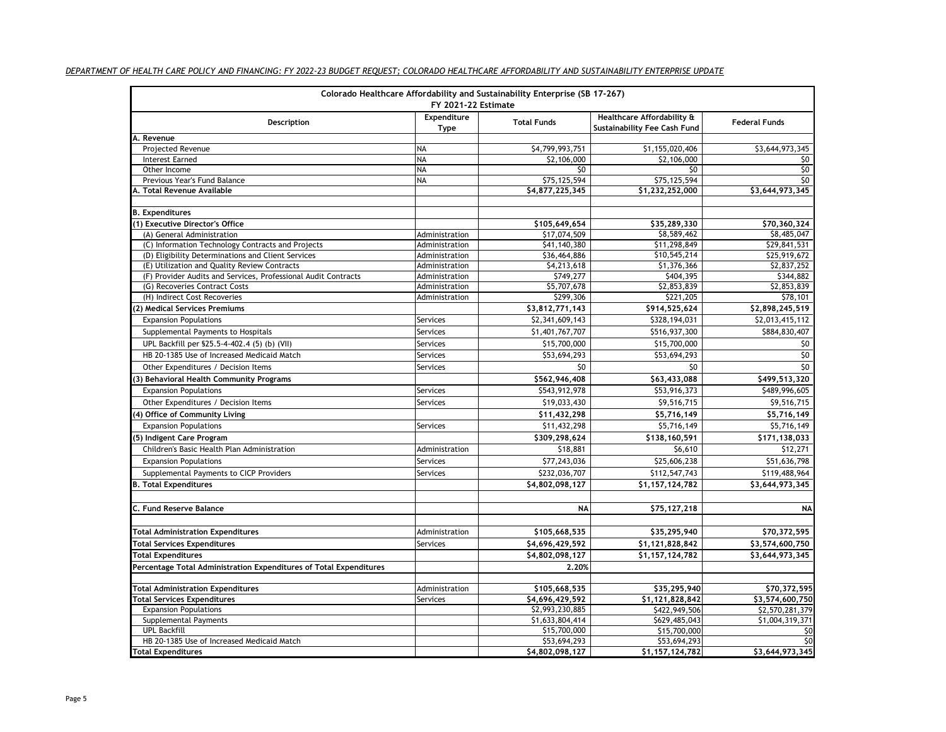|                                                                    | FY 2021-22 Estimate | Colorado Healthcare Affordability and Sustainability Enterprise (SB 17-267) |                                                                   |                             |
|--------------------------------------------------------------------|---------------------|-----------------------------------------------------------------------------|-------------------------------------------------------------------|-----------------------------|
| Description                                                        | Expenditure<br>Type | <b>Total Funds</b>                                                          | Healthcare Affordability &<br><b>Sustainability Fee Cash Fund</b> | <b>Federal Funds</b>        |
| A. Revenue                                                         |                     |                                                                             |                                                                   |                             |
| <b>Projected Revenue</b>                                           | <b>NA</b>           | \$4,799,993,751                                                             | \$1,155,020,406                                                   | \$3,644,973,345             |
| Interest Earned                                                    | <b>NA</b>           | \$2,106,000                                                                 | \$2,106,000                                                       | \$0                         |
| Other Income                                                       | <b>NA</b>           | \$0                                                                         | \$0                                                               | 50                          |
| Previous Year's Fund Balance                                       | <b>NA</b>           | \$75,125,594                                                                | \$75,125,594                                                      | \$0                         |
| A. Total Revenue Available                                         |                     | \$4,877,225,345                                                             | \$1,232,252,000                                                   | \$3,644,973,345             |
| <b>B.</b> Expenditures                                             |                     |                                                                             |                                                                   |                             |
| (1) Executive Director's Office                                    |                     | \$105,649,654                                                               | \$35,289,330                                                      | \$70,360,324                |
| (A) General Administration                                         | Administration      | \$17,074,509                                                                | \$8,589,462                                                       | \$8,485,047                 |
| (C) Information Technology Contracts and Projects                  | Administration      | \$41,140,380                                                                | \$11,298,849                                                      | $\overline{529}$ , 841, 531 |
| (D) Eligibility Determinations and Client Services                 | Administration      | \$36,464,886                                                                | \$10,545,214                                                      | \$25,919,672                |
| (E) Utilization and Quality Review Contracts                       | Administration      | \$4,213,618                                                                 | \$1,376,366                                                       | \$2,837,252                 |
| (F) Provider Audits and Services, Professional Audit Contracts     | Administration      | \$749,277                                                                   | \$404,395                                                         | \$344,882                   |
| (G) Recoveries Contract Costs                                      | Administration      | \$5,707,678                                                                 | \$2,853,839                                                       | \$2,853,839                 |
| (H) Indirect Cost Recoveries                                       | Administration      | \$299,306                                                                   | \$221,205                                                         | \$78,101                    |
| (2) Medical Services Premiums                                      |                     | \$3,812,771,143                                                             | \$914,525,624                                                     | \$2,898,245,519             |
| <b>Expansion Populations</b>                                       | Services            | \$2,341,609,143                                                             | \$328,194,031                                                     | \$2,013,415,112             |
| Supplemental Payments to Hospitals                                 | Services            | \$1,401,767,707                                                             | \$516,937,300                                                     | \$884,830,407               |
| UPL Backfill per §25.5-4-402.4 (5) (b) (VII)                       | Services            | \$15,700,000                                                                | \$15,700,000                                                      | \$0                         |
| HB 20-1385 Use of Increased Medicaid Match                         | Services            | \$53,694,293                                                                | \$53,694,293                                                      | \$0                         |
| Other Expenditures / Decision Items                                | Services            | 50                                                                          | \$0                                                               | \$0                         |
| 3) Behavioral Health Community Programs                            |                     | \$562,946,408                                                               | \$63,433,088                                                      | \$499,513,320               |
| <b>Expansion Populations</b>                                       | Services            | \$543,912,978                                                               | \$53,916,373                                                      | \$489,996,605               |
| Other Expenditures / Decision Items                                | Services            | \$19,033,430                                                                | \$9,516,715                                                       | \$9,516,715                 |
| (4) Office of Community Living                                     |                     | \$11,432,298                                                                | \$5,716,149                                                       | \$5,716,149                 |
| <b>Expansion Populations</b>                                       | Services            | \$11,432,298                                                                | \$5,716,149                                                       | \$5,716,149                 |
| (5) Indigent Care Program                                          |                     | \$309,298,624                                                               | \$138,160,591                                                     | \$171,138,033               |
| Children's Basic Health Plan Administration                        | Administration      | \$18,881                                                                    | \$6,610                                                           | \$12,271                    |
| <b>Expansion Populations</b>                                       | Services            | \$77,243,036                                                                | \$25,606,238                                                      | \$51,636,798                |
| Supplemental Payments to CICP Providers                            | Services            | \$232,036,707                                                               | \$112,547,743                                                     | \$119,488,964               |
| <b>B. Total Expenditures</b>                                       |                     | \$4,802,098,127                                                             |                                                                   | \$3,644,973,345             |
|                                                                    |                     |                                                                             | \$1,157,124,782                                                   |                             |
| C. Fund Reserve Balance                                            |                     | <b>NA</b>                                                                   | \$75,127,218                                                      | <b>NA</b>                   |
| <b>Total Administration Expenditures</b>                           | Administration      | \$105,668,535                                                               | \$35,295,940                                                      | \$70,372,595                |
| <b>Total Services Expenditures</b>                                 |                     |                                                                             |                                                                   |                             |
|                                                                    | Services            | \$4,696,429,592                                                             | \$1,121,828,842                                                   | \$3,574,600,750             |
| <b>Total Expenditures</b>                                          |                     | \$4,802,098,127                                                             | \$1,157,124,782                                                   | \$3,644,973,345             |
| Percentage Total Administration Expenditures of Total Expenditures |                     | 2.20%                                                                       |                                                                   |                             |
| <b>Total Administration Expenditures</b>                           | Administration      | \$105,668,535                                                               | \$35,295,940                                                      | \$70,372,595                |
| <b>Total Services Expenditures</b>                                 | Services            | \$4,696,429,592                                                             | \$1,121,828,842                                                   | \$3,574,600,750             |
| <b>Expansion Populations</b>                                       |                     | \$2,993,230,885                                                             | \$422,949,506                                                     | \$2,570,281,379             |
| Supplemental Payments                                              |                     | \$1,633,804,414                                                             | \$629,485,043                                                     | \$1,004,319,371             |
| <b>UPL Backfill</b>                                                |                     | \$15,700,000                                                                | \$15,700,000                                                      | \$0                         |
| HB 20-1385 Use of Increased Medicaid Match                         |                     | \$53,694,293                                                                | \$53,694,293                                                      | SO                          |
| <b>Total Expenditures</b>                                          |                     | \$4,802,098,127                                                             | \$1,157,124,782                                                   | \$3,644,973,345             |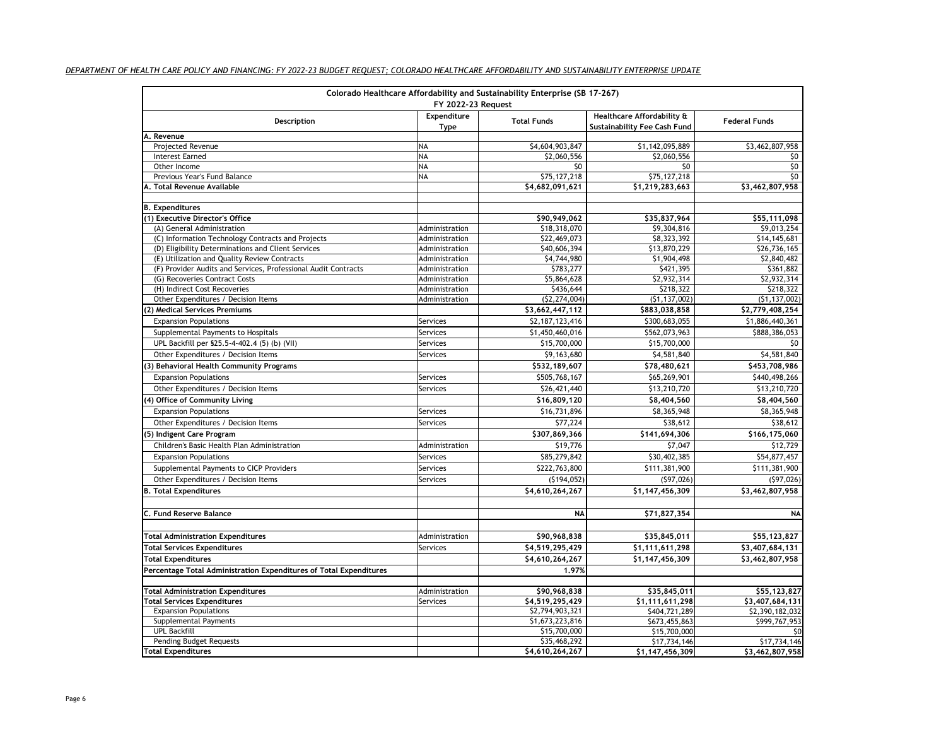| Colorado Healthcare Affordability and Sustainability Enterprise (SB 17-267)<br><b>FY 2022-23 Request</b> |                     |                    |                                                            |                                 |
|----------------------------------------------------------------------------------------------------------|---------------------|--------------------|------------------------------------------------------------|---------------------------------|
| Description                                                                                              | Expenditure<br>Type | <b>Total Funds</b> | Healthcare Affordability &<br>Sustainability Fee Cash Fund | <b>Federal Funds</b>            |
| A. Revenue                                                                                               |                     |                    |                                                            |                                 |
| Projected Revenue                                                                                        | <b>NA</b>           | \$4,604,903,847    | \$1,142,095,889                                            | \$3,462,807,958                 |
| <b>Interest Earned</b>                                                                                   | <b>NA</b>           | \$2,060,556        | \$2,060,556                                                | \$0                             |
| Other Income                                                                                             | <b>NA</b>           | \$0                | \$0                                                        | \$0                             |
| Previous Year's Fund Balance                                                                             | <b>NA</b>           | \$75,127,218       | \$75,127,218                                               | \$0                             |
| A. Total Revenue Available                                                                               |                     | \$4,682,091,621    | \$1,219,283,663                                            | \$3,462,807,958                 |
| <b>B.</b> Expenditures                                                                                   |                     |                    |                                                            |                                 |
| (1) Executive Director's Office                                                                          |                     | \$90,949,062       | \$35,837,964                                               | \$55,111,098                    |
| (A) General Administration                                                                               | Administration      | \$18,318,070       | \$9,304,816                                                | \$9,013,254                     |
| (C) Information Technology Contracts and Projects                                                        | Administration      | \$22,469,073       | \$8,323,392                                                | \$14,145,681                    |
| (D) Eligibility Determinations and Client Services                                                       | Administration      | \$40,606,394       | \$13,870,229                                               | \$26,736,165                    |
| (E) Utilization and Quality Review Contracts                                                             | Administration      | \$4,744,980        | \$1,904,498                                                | \$2,840,482                     |
| (F) Provider Audits and Services, Professional Audit Contracts                                           | Administration      | \$783,277          | \$421,395                                                  | \$361,882                       |
| (G) Recoveries Contract Costs                                                                            | Administration      | \$5,864,628        | \$2,932,314                                                | \$2,932,314                     |
| (H) Indirect Cost Recoveries                                                                             | Administration      | \$436,644          | \$218,322                                                  | \$218,322                       |
| Other Expenditures / Decision Items                                                                      | Administration      | (52, 274, 004)     | (51, 137, 002)                                             | (51, 137, 002)                  |
| (2) Medical Services Premiums                                                                            |                     | \$3,662,447,112    | \$883,038,858                                              | \$2,779,408,254                 |
| <b>Expansion Populations</b>                                                                             | Services            | \$2,187,123,416    | \$300,683,055                                              | \$1,886,440,361                 |
| Supplemental Payments to Hospitals                                                                       | Services            | \$1,450,460,016    | \$562,073,963                                              | \$888,386,053                   |
| UPL Backfill per §25.5-4-402.4 (5) (b) (VII)                                                             | Services            | \$15,700,000       | \$15,700,000                                               | \$0                             |
| Other Expenditures / Decision Items                                                                      | Services            | \$9,163,680        | \$4,581,840                                                | \$4,581,840                     |
| 3) Behavioral Health Community Programs                                                                  |                     | \$532,189,607      | \$78,480,621                                               | \$453,708,986                   |
| <b>Expansion Populations</b>                                                                             | Services            | \$505,768,167      | \$65,269,901                                               | \$440,498,266                   |
| Other Expenditures / Decision Items                                                                      | Services            | \$26,421,440       | \$13,210,720                                               | \$13,210,720                    |
| 4) Office of Community Living                                                                            |                     | \$16,809,120       | \$8,404,560                                                | \$8,404,560                     |
| <b>Expansion Populations</b>                                                                             | Services            | \$16,731,896       | \$8,365,948                                                | \$8,365,948                     |
| Other Expenditures / Decision Items                                                                      | Services            | \$77,224           | \$38,612                                                   | \$38,612                        |
| (5) Indigent Care Program                                                                                |                     | \$307,869,366      | \$141,694,306                                              | \$166,175,060                   |
| Children's Basic Health Plan Administration                                                              | Administration      | \$19,776           | \$7,047                                                    | \$12,729                        |
| <b>Expansion Populations</b>                                                                             | Services            | \$85,279,842       | \$30,402,385                                               | \$54,877,457                    |
| Supplemental Payments to CICP Providers                                                                  | Services            | \$222,763,800      | \$111,381,900                                              | \$111,381,900                   |
| Other Expenditures / Decision Items                                                                      | Services            | (\$194,052)        | (597, 026)                                                 | (597, 026)                      |
| <b>B. Total Expenditures</b>                                                                             |                     | \$4,610,264,267    | \$1,147,456,309                                            | \$3,462,807,958                 |
|                                                                                                          |                     |                    |                                                            |                                 |
| C. Fund Reserve Balance                                                                                  |                     | <b>NA</b>          | \$71,827,354                                               | NA                              |
|                                                                                                          |                     |                    |                                                            |                                 |
| Total Administration Expenditures                                                                        | Administration      | \$90,968,838       | \$35,845,011                                               | \$55,123,827                    |
| Total Services Expenditures                                                                              | Services            | \$4,519,295,429    | \$1,111,611,298                                            | \$3,407,684,131                 |
| <b>Total Expenditures</b>                                                                                |                     | \$4,610,264,267    | \$1,147,456,309                                            | \$3,462,807,958                 |
| Percentage Total Administration Expenditures of Total Expenditures                                       |                     | 1.97%              |                                                            |                                 |
| <b>Total Administration Expenditures</b>                                                                 | Administration      | \$90,968,838       |                                                            |                                 |
| <b>Total Services Expenditures</b>                                                                       | Services            | \$4,519,295,429    | \$35,845,011<br>\$1,111,611,298                            | \$55,123,827<br>\$3,407,684,131 |
| <b>Expansion Populations</b>                                                                             |                     | \$2,794,903,321    | \$404,721,289                                              | \$2,390,182,032                 |
| Supplemental Payments                                                                                    |                     | \$1,673,223,816    | \$673,455,863                                              | \$999,767,953                   |
| <b>UPL Backfill</b>                                                                                      |                     | \$15,700,000       | \$15,700,000                                               | \$0                             |
| Pending Budget Requests                                                                                  |                     | \$35,468,292       | \$17,734,146                                               | \$17,734,146                    |
| <b>Total Expenditures</b>                                                                                |                     | \$4,610,264,267    | \$1,147,456,309                                            | \$3,462,807,958                 |